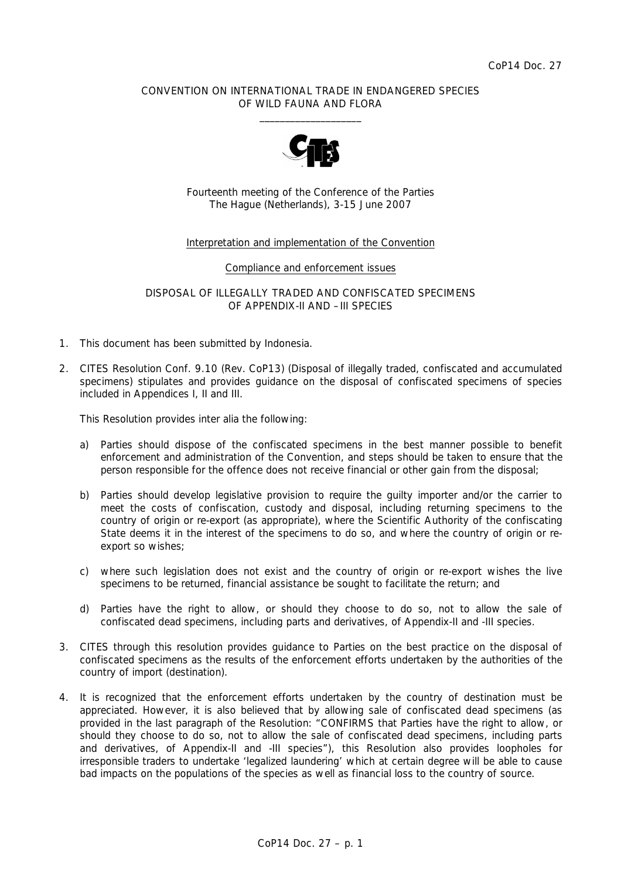## CONVENTION ON INTERNATIONAL TRADE IN ENDANGERED SPECIES OF WILD FAUNA AND FLORA  $\frac{1}{2}$  , and the set of the set of the set of the set of the set of the set of the set of the set of the set of the set of the set of the set of the set of the set of the set of the set of the set of the set of the set



Fourteenth meeting of the Conference of the Parties The Hague (Netherlands), 3-15 June 2007

## Interpretation and implementation of the Convention

### Compliance and enforcement issues

DISPOSAL OF ILLEGALLY TRADED AND CONFISCATED SPECIMENS OF APPENDIX-II AND –III SPECIES

- 1. This document has been submitted by Indonesia.
- 2. CITES Resolution Conf. 9.10 (Rev. CoP13) (Disposal of illegally traded, confiscated and accumulated specimens) stipulates and provides guidance on the disposal of confiscated specimens of species included in Appendices I, II and III.

This Resolution provides *inter alia* the following:

- a) Parties should dispose of the confiscated specimens in the best manner possible to benefit enforcement and administration of the Convention, and steps should be taken to ensure that the person responsible for the offence does not receive financial or other gain from the disposal;
- b) Parties should develop legislative provision to require the guilty importer and/or the carrier to meet the costs of confiscation, custody and disposal, including returning specimens to the country of origin or re-export (as appropriate), where the Scientific Authority of the confiscating State deems it in the interest of the specimens to do so, and where the country of origin or reexport so wishes;
- c) where such legislation does not exist and the country of origin or re-export wishes the live specimens to be returned, financial assistance be sought to facilitate the return; and
- d) Parties have the right to allow, or should they choose to do so, not to allow the sale of confiscated dead specimens, including parts and derivatives, of Appendix-II and -III species.
- 3. CITES through this resolution provides guidance to Parties on the best practice on the disposal of confiscated specimens as the results of the enforcement efforts undertaken by the authorities of the country of import (destination).
- 4. It is recognized that the enforcement efforts undertaken by the country of destination must be appreciated. However, it is also believed that by allowing sale of confiscated dead specimens (as provided in the last paragraph of the Resolution: "CONFIRMS that Parties have the right to allow, or should they choose to do so, not to allow the sale of confiscated dead specimens, including parts and derivatives, of Appendix-II and -III species"), this Resolution also provides loopholes for irresponsible traders to undertake 'legalized laundering' which at certain degree will be able to cause bad impacts on the populations of the species as well as financial loss to the country of source.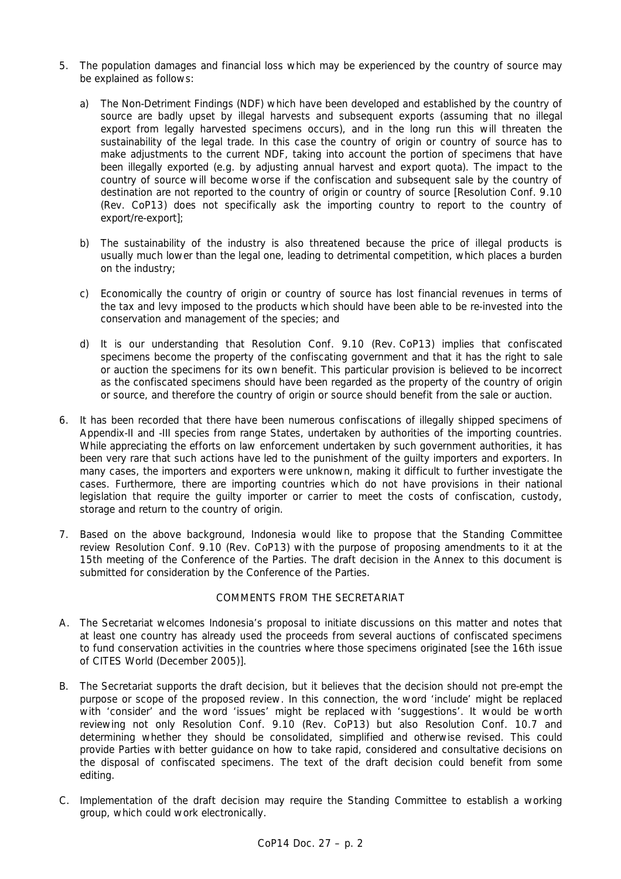- 5. The population damages and financial loss which may be experienced by the country of source may be explained as follows:
	- a) The Non-Detriment Findings (NDF) which have been developed and established by the country of source are badly upset by illegal harvests and subsequent exports (assuming that no illegal export from legally harvested specimens occurs), and in the long run this will threaten the sustainability of the legal trade. In this case the country of origin or country of source has to make adjustments to the current NDF, taking into account the portion of specimens that have been illegally exported (e.g. by adjusting annual harvest and export quota). The impact to the country of source will become worse if the confiscation and subsequent sale by the country of destination are not reported to the country of origin or country of source [Resolution Conf. 9.10 (Rev. CoP13) does not specifically ask the importing country to report to the country of export/re-export];
	- b) The sustainability of the industry is also threatened because the price of illegal products is usually much lower than the legal one, leading to detrimental competition, which places a burden on the industry;
	- c) Economically the country of origin or country of source has lost financial revenues in terms of the tax and levy imposed to the products which should have been able to be re-invested into the conservation and management of the species; and
	- d) It is our understanding that Resolution Conf. 9.10 (Rev. CoP13) implies that confiscated specimens become the property of the confiscating government and that it has the right to sale or auction the specimens for its own benefit. This particular provision is believed to be incorrect as the confiscated specimens should have been regarded as the property of the country of origin or source, and therefore the country of origin or source should benefit from the sale or auction.
- 6. It has been recorded that there have been numerous confiscations of illegally shipped specimens of Appendix-II and -III species from range States, undertaken by authorities of the importing countries. While appreciating the efforts on law enforcement undertaken by such government authorities, it has been very rare that such actions have led to the punishment of the guilty importers and exporters. In many cases, the importers and exporters were unknown, making it difficult to further investigate the cases. Furthermore, there are importing countries which do not have provisions in their national legislation that require the guilty importer or carrier to meet the costs of confiscation, custody, storage and return to the country of origin.
- 7. Based on the above background, Indonesia would like to propose that the Standing Committee review Resolution Conf. 9.10 (Rev. CoP13) with the purpose of proposing amendments to it at the 15th meeting of the Conference of the Parties. The draft decision in the Annex to this document is submitted for consideration by the Conference of the Parties.

# COMMENTS FROM THE SECRETARIAT

- A. The Secretariat welcomes Indonesia's proposal to initiate discussions on this matter and notes that at least one country has already used the proceeds from several auctions of confiscated specimens to fund conservation activities in the countries where those specimens originated [see the 16th issue of *CITES World* (December 2005)].
- B. The Secretariat supports the draft decision, but it believes that the decision should not pre-empt the purpose or scope of the proposed review. In this connection, the word 'include' might be replaced with 'consider' and the word 'issues' might be replaced with 'suggestions'. It would be worth reviewing not only Resolution Conf. 9.10 (Rev. CoP13) but also Resolution Conf. 10.7 and determining whether they should be consolidated, simplified and otherwise revised. This could provide Parties with better guidance on how to take rapid, considered and consultative decisions on the disposal of confiscated specimens. The text of the draft decision could benefit from some editing.
- C. Implementation of the draft decision may require the Standing Committee to establish a working group, which could work electronically.